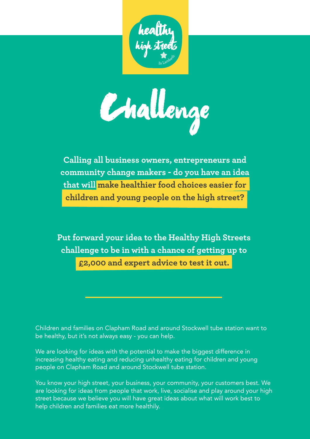

challenge

**Calling all business owners, entrepreneurs and community change makers - do you have an idea that will make healthier food choices easier for children and young people on the high street?**

**Put forward your idea to the Healthy High Streets challenge to be in with a chance of getting up to £2,000 and expert advice to test it out.**

Children and families on Clapham Road and around Stockwell tube station want to be healthy, but it's not always easy - you can help.

We are looking for ideas with the potential to make the biggest difference in increasing healthy eating and reducing unhealthy eating for children and young people on Clapham Road and around Stockwell tube station.

You know your high street, your business, your community, your customers best. We are looking for ideas from people that work, live, socialise and play around your high street because we believe you will have great ideas about what will work best to help children and families eat more healthily.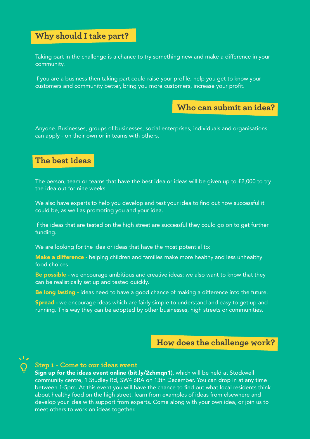# **Why should I take part?**

Taking part in the challenge is a chance to try something new and make a difference in your community.

If you are a business then taking part could raise your profile, help you get to know your customers and community better, bring you more customers, increase your profit.

# **Who can submit an idea?**

Anyone. Businesses, groups of businesses, social enterprises, individuals and organisations can apply - on their own or in teams with others.

# **The best ideas**

The person, team or teams that have the best idea or ideas will be given up to £2,000 to try the idea out for nine weeks.

We also have experts to help you develop and test your idea to find out how successful it could be, as well as promoting you and your idea.

If the ideas that are tested on the high street are successful they could go on to get further funding.

We are looking for the idea or ideas that have the most potential to:

Make a difference - helping children and families make more healthy and less unhealthy food choices.

Be possible - we encourage ambitious and creative ideas; we also want to know that they can be realistically set up and tested quickly.

Be long lasting - ideas need to have a good chance of making a difference into the future.

Spread - we encourage ideas which are fairly simple to understand and easy to get up and running. This way they can be adopted by other businesses, high streets or communities.

## **How does the challenge work?**



### **Step 1 - Come to our ideas event**

Sign up for the ideas event online (bit.ly/2zhmqn1), which will be held at Stockwell community centre, 1 Studley Rd, SW4 6RA on 13th December. You can drop in at any time between 1-5pm. At this event you will have the chance to find out what local residents think about healthy food on the high street, learn from examples of ideas from elsewhere and develop your idea with support from experts. Come along with your own idea, or join us to meet others to work on ideas together.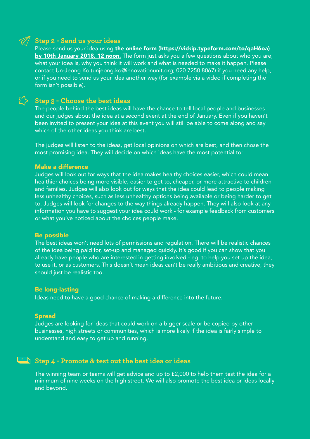## **Step 2 - Send us your ideas**

Please send us your idea using the online form (https://vickip.typeform.com/to/qaH6oa) by 10th January 2018, 12 noon. The form just asks you a few questions about who you are, what your idea is, why you think it will work and what is needed to make it happen. Please contact Un-Jeong Ko (unjeong.ko@innovationunit.org; 020 7250 8067) if you need any help, or if you need to send us your idea another way (for example via a video if completing the form isn't possible).

## **Step 3 - Choose the best ideas**

The people behind the best ideas will have the chance to tell local people and businesses and our judges about the idea at a second event at the end of January. Even if you haven't been invited to present your idea at this event you will still be able to come along and say which of the other ideas you think are best.

The judges will listen to the ideas, get local opinions on which are best, and then chose the most promising idea. They will decide on which ideas have the most potential to:

#### Make a difference

Judges will look out for ways that the idea makes healthy choices easier, which could mean healthier choices being more visible, easier to get to, cheaper, or more attractive to children and families. Judges will also look out for ways that the idea could lead to people making less unhealthy choices, such as less unhealthy options being available or being harder to get to. Judges will look for changes to the way things already happen. They will also look at any information you have to suggest your idea could work - for example feedback from customers or what you've noticed about the choices people make.

#### Be possible

The best ideas won't need lots of permissions and regulation. There will be realistic chances of the idea being paid for, set-up and managed quickly. It's good if you can show that you already have people who are interested in getting involved - eg. to help you set up the idea, to use it, or as customers. This doesn't mean ideas can't be really ambitious and creative, they should just be realistic too.

#### Be long-lasting

Ideas need to have a good chance of making a difference into the future.

#### Spread

**£**

Judges are looking for ideas that could work on a bigger scale or be copied by other businesses, high streets or communities, which is more likely if the idea is fairly simple to understand and easy to get up and running.

## **Step 4 - Promote & test out the best idea or ideas**

The winning team or teams will get advice and up to £2,000 to help them test the idea for a minimum of nine weeks on the high street. We will also promote the best idea or ideas locally and beyond.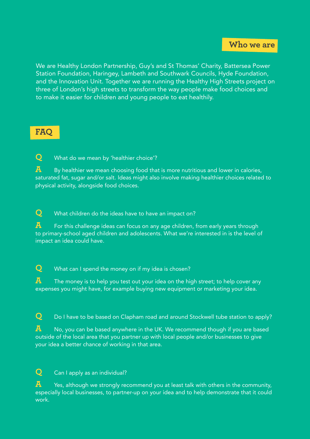We are Healthy London Partnership, Guy's and St Thomas' Charity, Battersea Power Station Foundation, Haringey, Lambeth and Southwark Councils, Hyde Foundation, and the Innovation Unit. Together we are running the Healthy High Streets project on three of London's high streets to transform the way people make food choices and to make it easier for children and young people to eat healthily.

# **FAQ**

**Q** What do we mean by 'healthier choice'?

**A** By healthier we mean choosing food that is more nutritious and lower in calories, saturated fat, sugar and/or salt. Ideas might also involve making healthier choices related to physical activity, alongside food choices.

**Q** What children do the ideas have to have an impact on?

**A** For this challenge ideas can focus on any age children, from early years through to primary-school aged children and adolescents. What we're interested in is the level of impact an idea could have.

**Q** What can I spend the money on if my idea is chosen?

**A** The money is to help you test out your idea on the high street; to help cover any expenses you might have, for example buying new equipment or marketing your idea.

**Q** Do I have to be based on Clapham road and around Stockwell tube station to apply?

**A** No, you can be based anywhere in the UK. We recommend though if you are based outside of the local area that you partner up with local people and/or businesses to give your idea a better chance of working in that area.

**Q** Can I apply as an individual?

**A** Yes, although we strongly recommend you at least talk with others in the community, especially local businesses, to partner-up on your idea and to help demonstrate that it could work.